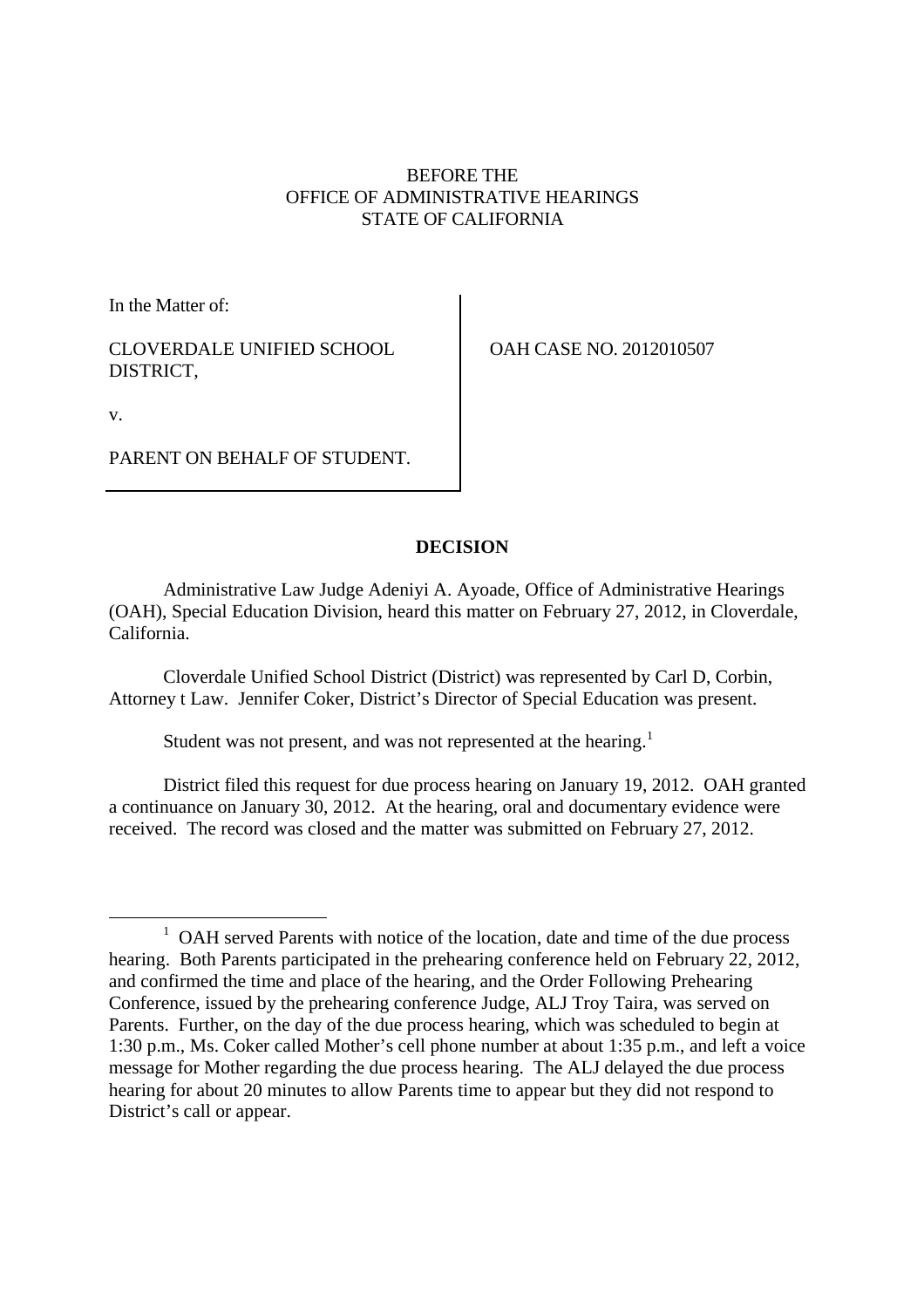## BEFORE THE OFFICE OF ADMINISTRATIVE HEARINGS STATE OF CALIFORNIA

In the Matter of:

CLOVERDALE UNIFIED SCHOOL DISTRICT,

OAH CASE NO. 2012010507

v.

PARENT ON BEHALF OF STUDENT.

# **DECISION**

Administrative Law Judge Adeniyi A. Ayoade, Office of Administrative Hearings (OAH), Special Education Division, heard this matter on February 27, 2012, in Cloverdale, California.

Cloverdale Unified School District (District) was represented by Carl D, Corbin, Attorney t Law. Jennifer Coker, District's Director of Special Education was present.

Student was not present, and was not represented at the hearing.<sup>1</sup>

District filed this request for due process hearing on January 19, 2012. OAH granted a continuance on January 30, 2012. At the hearing, oral and documentary evidence were received. The record was closed and the matter was submitted on February 27, 2012.

<sup>&</sup>lt;sup>1</sup> OAH served Parents with notice of the location, date and time of the due process hearing. Both Parents participated in the prehearing conference held on February 22, 2012, and confirmed the time and place of the hearing, and the Order Following Prehearing Conference, issued by the prehearing conference Judge, ALJ Troy Taira, was served on Parents. Further, on the day of the due process hearing, which was scheduled to begin at 1:30 p.m., Ms. Coker called Mother's cell phone number at about 1:35 p.m., and left a voice message for Mother regarding the due process hearing. The ALJ delayed the due process hearing for about 20 minutes to allow Parents time to appear but they did not respond to District's call or appear.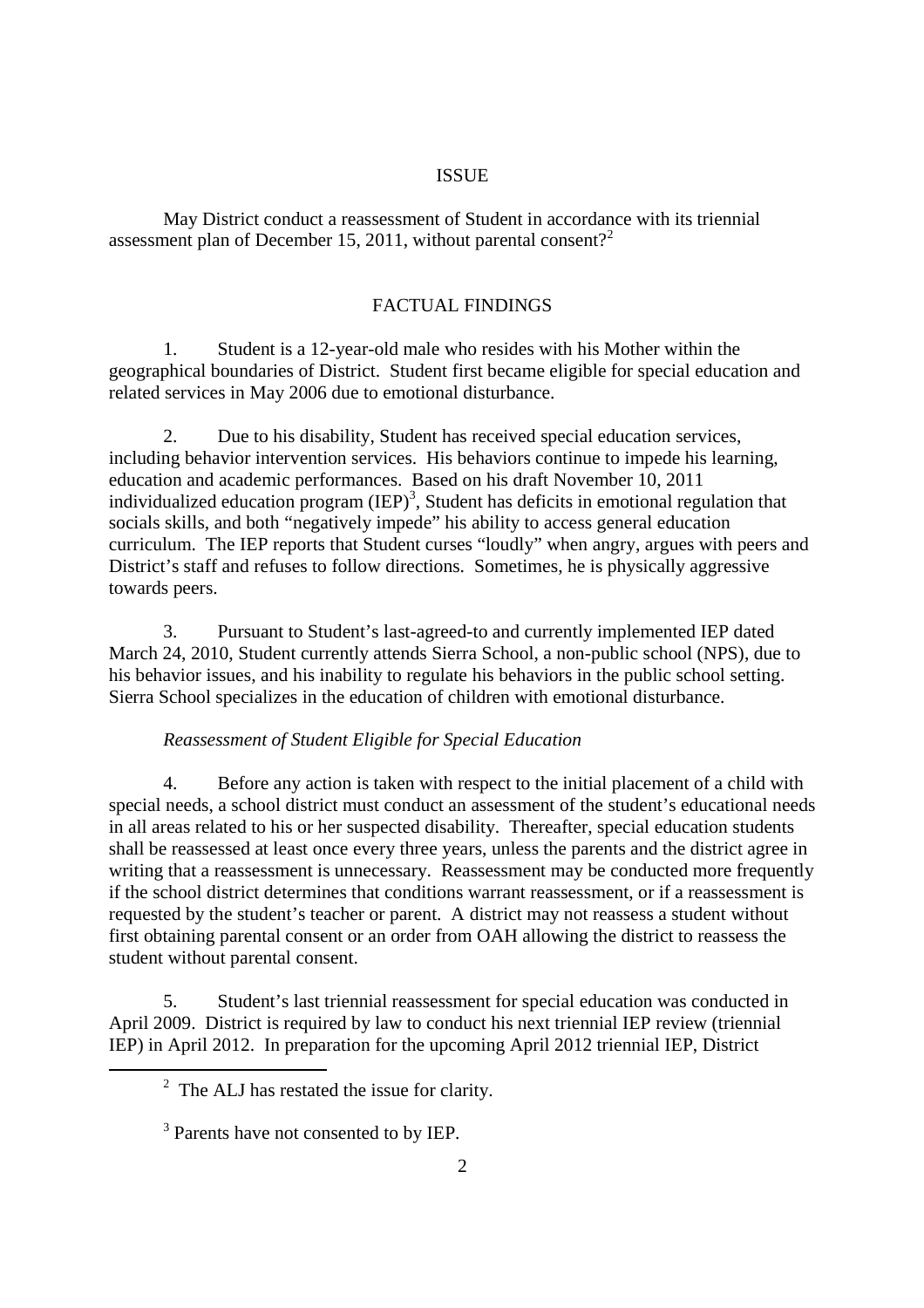### ISSUE

May District conduct a reassessment of Student in accordance with its triennial assessment plan of December 15, 2011, without parental consent?<sup>2</sup>

### FACTUAL FINDINGS

1. Student is a 12-year-old male who resides with his Mother within the geographical boundaries of District. Student first became eligible for special education and related services in May 2006 due to emotional disturbance.

2. Due to his disability, Student has received special education services, including behavior intervention services. His behaviors continue to impede his learning, education and academic performances. Based on his draft November 10, 2011 individualized education program  $(\text{IEP})^3$ , Student has deficits in emotional regulation that socials skills, and both "negatively impede" his ability to access general education curriculum. The IEP reports that Student curses "loudly" when angry, argues with peers and District's staff and refuses to follow directions. Sometimes, he is physically aggressive towards peers.

3. Pursuant to Student's last-agreed-to and currently implemented IEP dated March 24, 2010, Student currently attends Sierra School, a non-public school (NPS), due to his behavior issues, and his inability to regulate his behaviors in the public school setting. Sierra School specializes in the education of children with emotional disturbance.

#### *Reassessment of Student Eligible for Special Education*

4. Before any action is taken with respect to the initial placement of a child with special needs, a school district must conduct an assessment of the student's educational needs in all areas related to his or her suspected disability. Thereafter, special education students shall be reassessed at least once every three years, unless the parents and the district agree in writing that a reassessment is unnecessary. Reassessment may be conducted more frequently if the school district determines that conditions warrant reassessment, or if a reassessment is requested by the student's teacher or parent. A district may not reassess a student without first obtaining parental consent or an order from OAH allowing the district to reassess the student without parental consent.

5. Student's last triennial reassessment for special education was conducted in April 2009. District is required by law to conduct his next triennial IEP review (triennial IEP) in April 2012. In preparation for the upcoming April 2012 triennial IEP, District

<sup>&</sup>lt;sup>2</sup> The ALJ has restated the issue for clarity.

<sup>&</sup>lt;sup>3</sup> Parents have not consented to by IEP.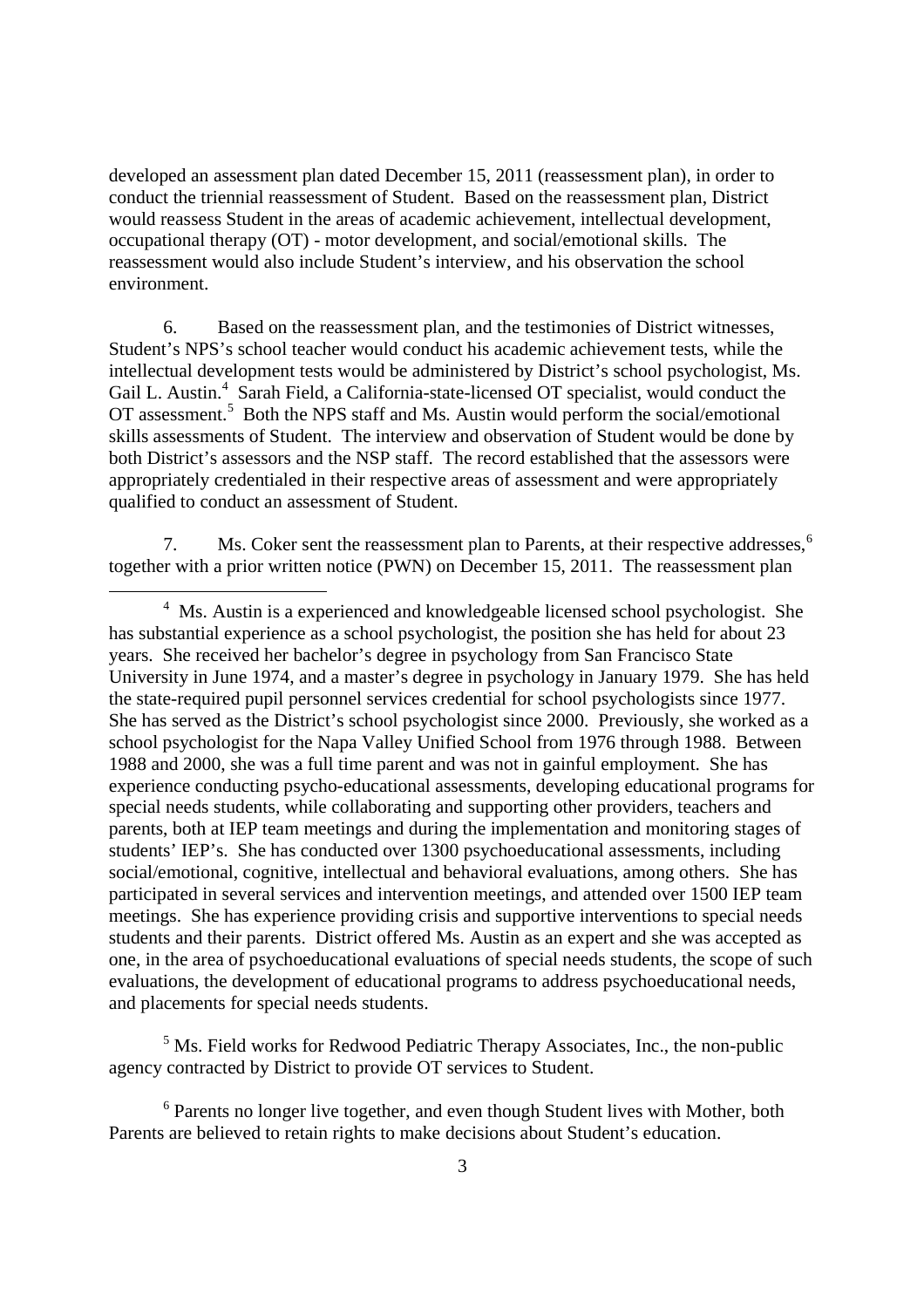developed an assessment plan dated December 15, 2011 (reassessment plan), in order to conduct the triennial reassessment of Student. Based on the reassessment plan, District would reassess Student in the areas of academic achievement, intellectual development, occupational therapy (OT) - motor development, and social/emotional skills. The reassessment would also include Student's interview, and his observation the school environment.

6. Based on the reassessment plan, and the testimonies of District witnesses, Student's NPS's school teacher would conduct his academic achievement tests, while the intellectual development tests would be administered by District's school psychologist, Ms. Gail L. Austin.<sup>4</sup> Sarah Field, a California-state-licensed OT specialist, would conduct the OT assessment.<sup>5</sup> Both the NPS staff and Ms. Austin would perform the social/emotional skills assessments of Student. The interview and observation of Student would be done by both District's assessors and the NSP staff. The record established that the assessors were appropriately credentialed in their respective areas of assessment and were appropriately qualified to conduct an assessment of Student.

7. Ms. Coker sent the reassessment plan to Parents, at their respective addresses,<sup>6</sup> together with a prior written notice (PWN) on December 15, 2011. The reassessment plan

<sup>5</sup> Ms. Field works for Redwood Pediatric Therapy Associates, Inc., the non-public agency contracted by District to provide OT services to Student.

<sup>&</sup>lt;sup>4</sup> Ms. Austin is a experienced and knowledgeable licensed school psychologist. She has substantial experience as a school psychologist, the position she has held for about 23 years. She received her bachelor's degree in psychology from San Francisco State University in June 1974, and a master's degree in psychology in January 1979. She has held the state-required pupil personnel services credential for school psychologists since 1977. She has served as the District's school psychologist since 2000. Previously, she worked as a school psychologist for the Napa Valley Unified School from 1976 through 1988. Between 1988 and 2000, she was a full time parent and was not in gainful employment. She has experience conducting psycho-educational assessments, developing educational programs for special needs students, while collaborating and supporting other providers, teachers and parents, both at IEP team meetings and during the implementation and monitoring stages of students' IEP's. She has conducted over 1300 psychoeducational assessments, including social/emotional, cognitive, intellectual and behavioral evaluations, among others. She has participated in several services and intervention meetings, and attended over 1500 IEP team meetings. She has experience providing crisis and supportive interventions to special needs students and their parents. District offered Ms. Austin as an expert and she was accepted as one, in the area of psychoeducational evaluations of special needs students, the scope of such evaluations, the development of educational programs to address psychoeducational needs, and placements for special needs students.

<sup>&</sup>lt;sup>6</sup> Parents no longer live together, and even though Student lives with Mother, both Parents are believed to retain rights to make decisions about Student's education.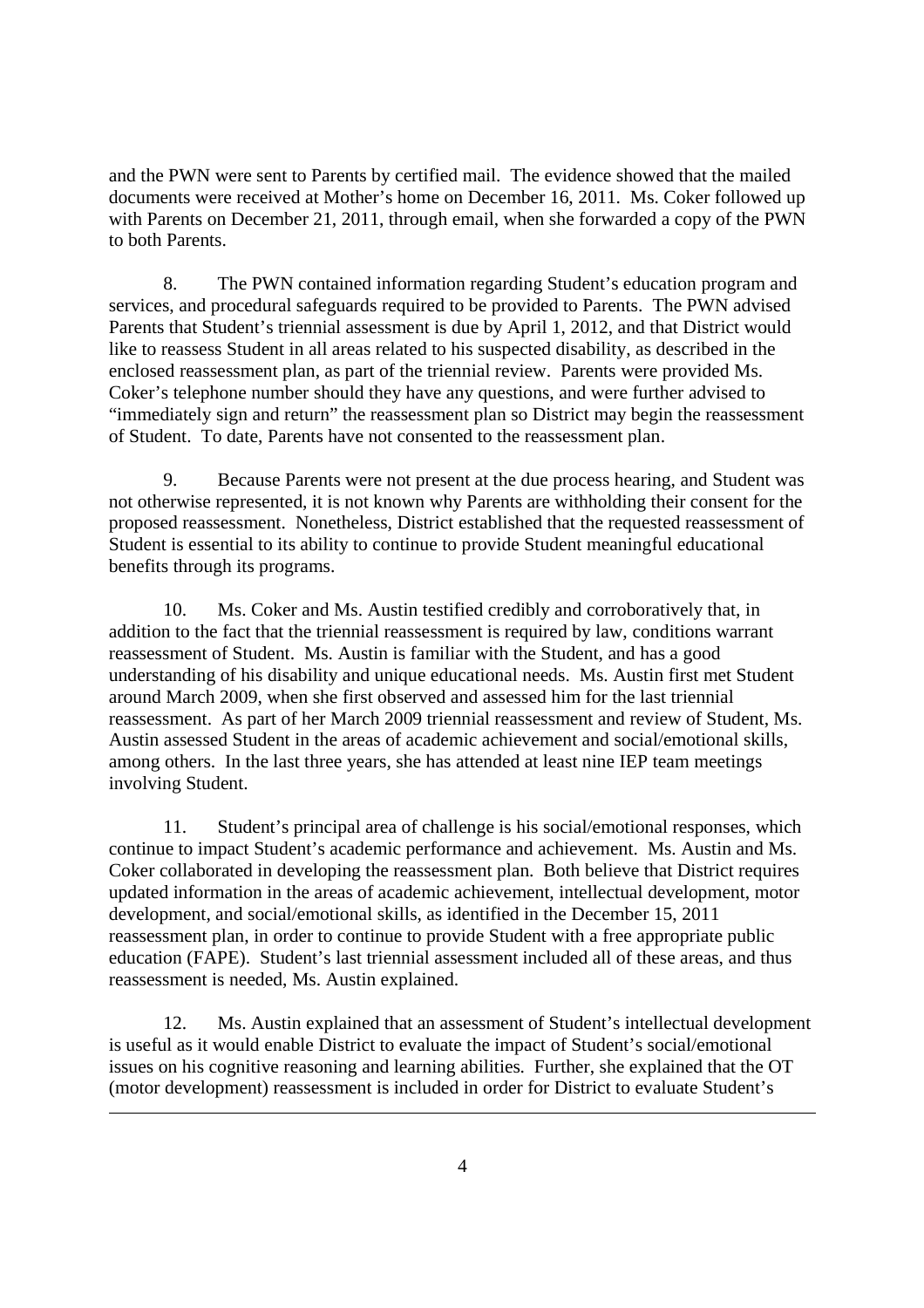and the PWN were sent to Parents by certified mail. The evidence showed that the mailed documents were received at Mother's home on December 16, 2011. Ms. Coker followed up with Parents on December 21, 2011, through email, when she forwarded a copy of the PWN to both Parents.

8. The PWN contained information regarding Student's education program and services, and procedural safeguards required to be provided to Parents. The PWN advised Parents that Student's triennial assessment is due by April 1, 2012, and that District would like to reassess Student in all areas related to his suspected disability, as described in the enclosed reassessment plan, as part of the triennial review. Parents were provided Ms. Coker's telephone number should they have any questions, and were further advised to "immediately sign and return" the reassessment plan so District may begin the reassessment of Student. To date, Parents have not consented to the reassessment plan.

9. Because Parents were not present at the due process hearing, and Student was not otherwise represented, it is not known why Parents are withholding their consent for the proposed reassessment. Nonetheless, District established that the requested reassessment of Student is essential to its ability to continue to provide Student meaningful educational benefits through its programs.

10. Ms. Coker and Ms. Austin testified credibly and corroboratively that, in addition to the fact that the triennial reassessment is required by law, conditions warrant reassessment of Student. Ms. Austin is familiar with the Student, and has a good understanding of his disability and unique educational needs. Ms. Austin first met Student around March 2009, when she first observed and assessed him for the last triennial reassessment. As part of her March 2009 triennial reassessment and review of Student, Ms. Austin assessed Student in the areas of academic achievement and social/emotional skills, among others. In the last three years, she has attended at least nine IEP team meetings involving Student.

11. Student's principal area of challenge is his social/emotional responses, which continue to impact Student's academic performance and achievement. Ms. Austin and Ms. Coker collaborated in developing the reassessment plan. Both believe that District requires updated information in the areas of academic achievement, intellectual development, motor development, and social/emotional skills, as identified in the December 15, 2011 reassessment plan, in order to continue to provide Student with a free appropriate public education (FAPE). Student's last triennial assessment included all of these areas, and thus reassessment is needed, Ms. Austin explained.

12. Ms. Austin explained that an assessment of Student's intellectual development is useful as it would enable District to evaluate the impact of Student's social/emotional issues on his cognitive reasoning and learning abilities. Further, she explained that the OT (motor development) reassessment is included in order for District to evaluate Student's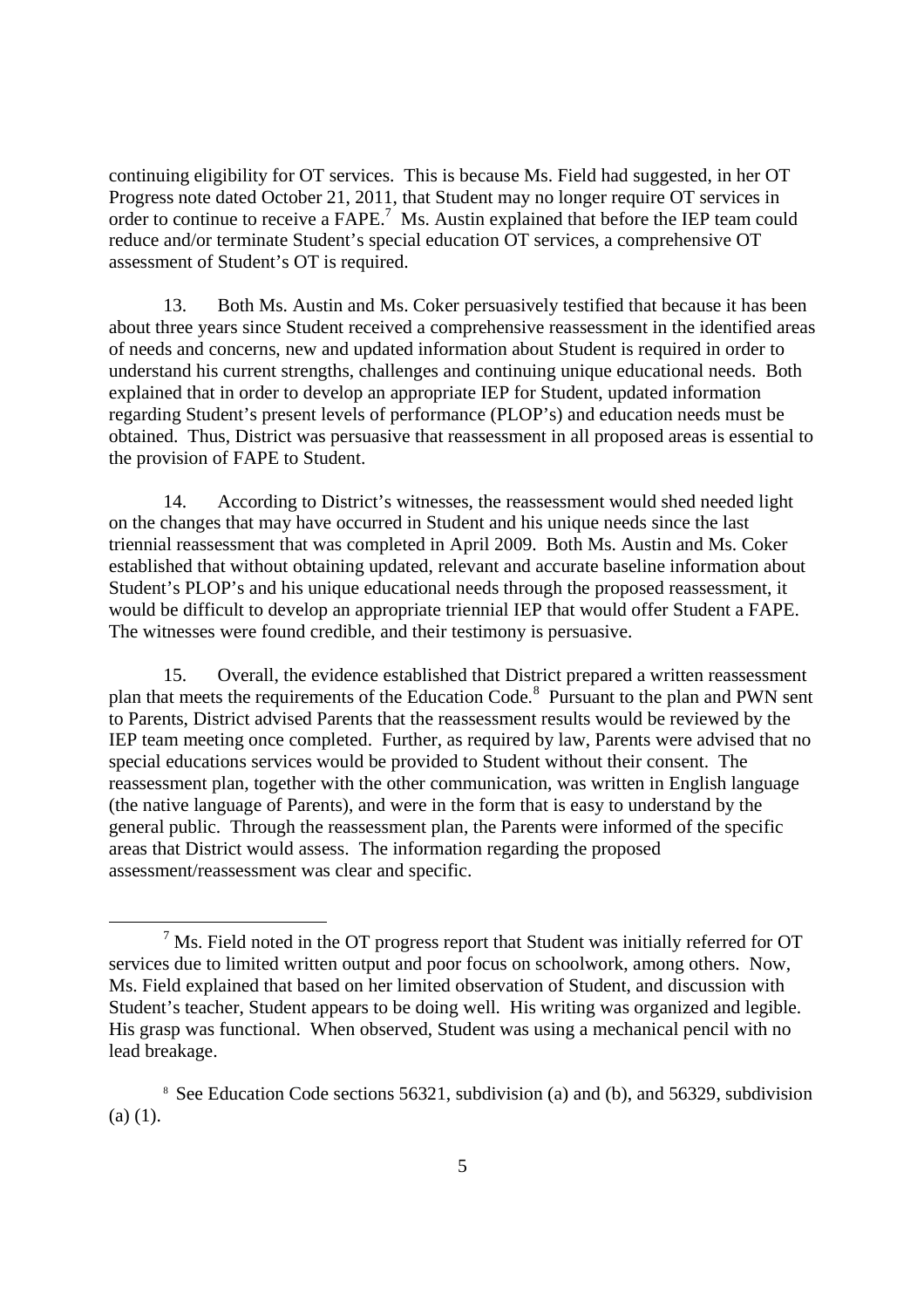continuing eligibility for OT services. This is because Ms. Field had suggested, in her OT Progress note dated October 21, 2011, that Student may no longer require OT services in order to continue to receive a FAPE.<sup>7</sup> Ms. Austin explained that before the IEP team could reduce and/or terminate Student's special education OT services, a comprehensive OT assessment of Student's OT is required.

13. Both Ms. Austin and Ms. Coker persuasively testified that because it has been about three years since Student received a comprehensive reassessment in the identified areas of needs and concerns, new and updated information about Student is required in order to understand his current strengths, challenges and continuing unique educational needs. Both explained that in order to develop an appropriate IEP for Student, updated information regarding Student's present levels of performance (PLOP's) and education needs must be obtained. Thus, District was persuasive that reassessment in all proposed areas is essential to the provision of FAPE to Student.

14. According to District's witnesses, the reassessment would shed needed light on the changes that may have occurred in Student and his unique needs since the last triennial reassessment that was completed in April 2009. Both Ms. Austin and Ms. Coker established that without obtaining updated, relevant and accurate baseline information about Student's PLOP's and his unique educational needs through the proposed reassessment, it would be difficult to develop an appropriate triennial IEP that would offer Student a FAPE. The witnesses were found credible, and their testimony is persuasive.

15. Overall, the evidence established that District prepared a written reassessment plan that meets the requirements of the Education Code.<sup>8</sup> Pursuant to the plan and PWN sent to Parents, District advised Parents that the reassessment results would be reviewed by the IEP team meeting once completed. Further, as required by law, Parents were advised that no special educations services would be provided to Student without their consent. The reassessment plan, together with the other communication, was written in English language (the native language of Parents), and were in the form that is easy to understand by the general public. Through the reassessment plan, the Parents were informed of the specific areas that District would assess. The information regarding the proposed assessment/reassessment was clear and specific.

 $<sup>7</sup>$  Ms. Field noted in the OT progress report that Student was initially referred for OT</sup> services due to limited written output and poor focus on schoolwork, among others. Now, Ms. Field explained that based on her limited observation of Student, and discussion with Student's teacher, Student appears to be doing well. His writing was organized and legible. His grasp was functional. When observed, Student was using a mechanical pencil with no lead breakage.

<sup>8</sup> See Education Code sections 56321, subdivision (a) and (b), and 56329, subdivision  $(a)$   $(1)$ .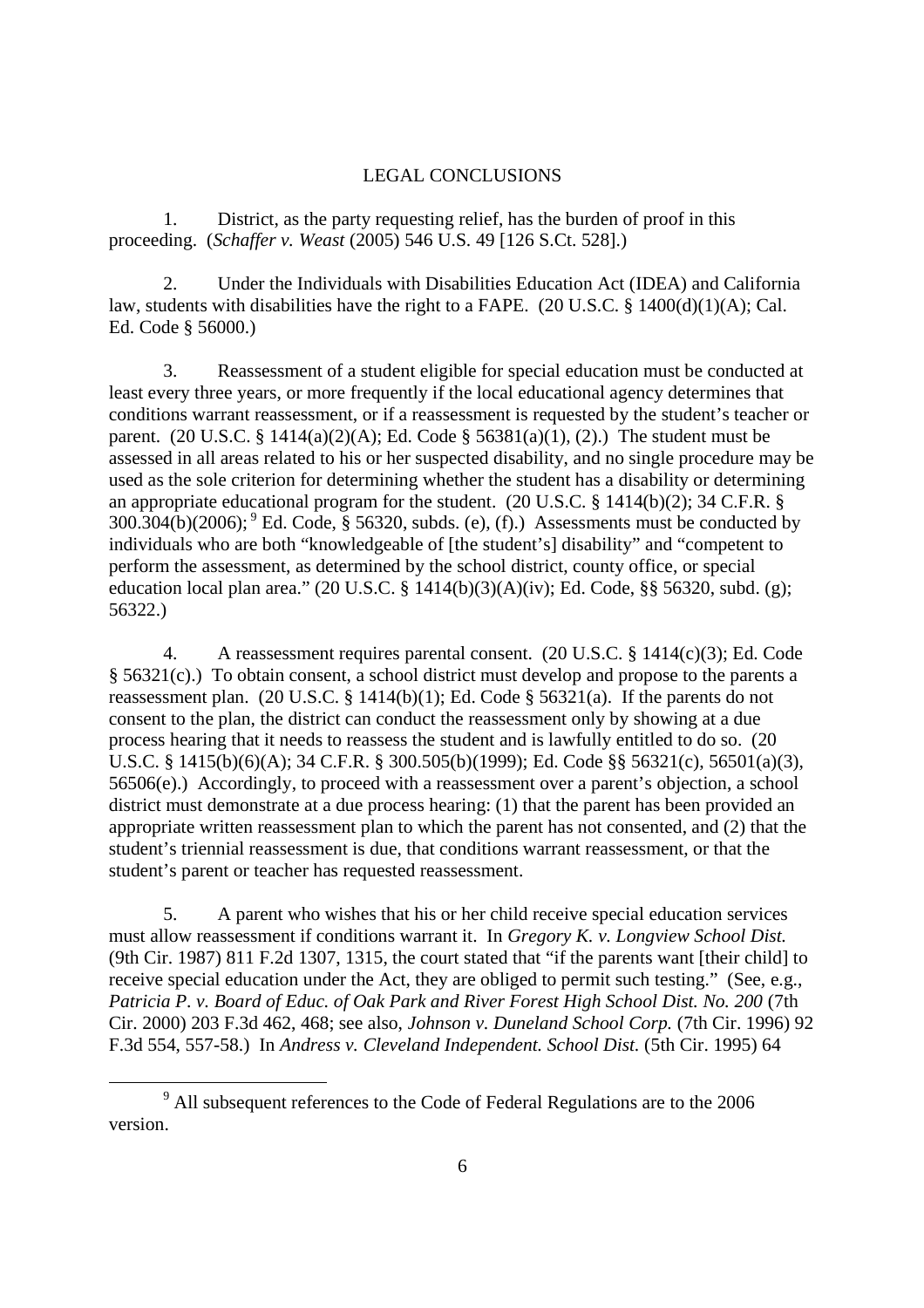## LEGAL CONCLUSIONS

1. District, as the party requesting relief, has the burden of proof in this proceeding. (*Schaffer v. Weast* (2005) 546 U.S. 49 [126 S.Ct. 528].)

2. Under the Individuals with Disabilities Education Act (IDEA) and California law, students with disabilities have the right to a FAPE. (20 U.S.C. § 1400(d)(1)(A); Cal. Ed. Code § 56000.)

3. Reassessment of a student eligible for special education must be conducted at least every three years, or more frequently if the local educational agency determines that conditions warrant reassessment, or if a reassessment is requested by the student's teacher or parent. (20 U.S.C. § 1414(a)(2)(A); Ed. Code § 56381(a)(1), (2).) The student must be assessed in all areas related to his or her suspected disability, and no single procedure may be used as the sole criterion for determining whether the student has a disability or determining an appropriate educational program for the student. (20 U.S.C. § 1414(b)(2); 34 C.F.R. §  $300.304(b)(2006)$ ;  $^9$  Ed. Code, § 56320, subds. (e), (f).) Assessments must be conducted by individuals who are both "knowledgeable of [the student's] disability" and "competent to perform the assessment, as determined by the school district, county office, or special education local plan area." (20 U.S.C. § 1414(b)(3)(A)(iv); Ed. Code, §§ 56320, subd. (g); 56322.)

4. A reassessment requires parental consent. (20 U.S.C. § 1414(c)(3); Ed. Code § 56321(c).) To obtain consent, a school district must develop and propose to the parents a reassessment plan. (20 U.S.C. § 1414(b)(1); Ed. Code § 56321(a). If the parents do not consent to the plan, the district can conduct the reassessment only by showing at a due process hearing that it needs to reassess the student and is lawfully entitled to do so. (20 U.S.C. § 1415(b)(6)(A); 34 C.F.R. § 300.505(b)(1999); Ed. Code §§ 56321(c), 56501(a)(3), 56506(e).) Accordingly, to proceed with a reassessment over a parent's objection, a school district must demonstrate at a due process hearing: (1) that the parent has been provided an appropriate written reassessment plan to which the parent has not consented, and (2) that the student's triennial reassessment is due, that conditions warrant reassessment, or that the student's parent or teacher has requested reassessment.

5. A parent who wishes that his or her child receive special education services must allow reassessment if conditions warrant it. In *Gregory K. v. Longview School Dist.* (9th Cir. 1987) 811 F.2d 1307, 1315, the court stated that "if the parents want [their child] to receive special education under the Act, they are obliged to permit such testing." (See, e.g., *Patricia P. v. Board of Educ. of Oak Park and River Forest High School Dist. No. 200* (7th Cir. 2000) 203 F.3d 462, 468; see also, *Johnson v. Duneland School Corp.* (7th Cir. 1996) 92 F.3d 554, 557-58.) In *Andress v. Cleveland Independent. School Dist.* (5th Cir. 1995) 64

 $9$  All subsequent references to the Code of Federal Regulations are to the 2006 version.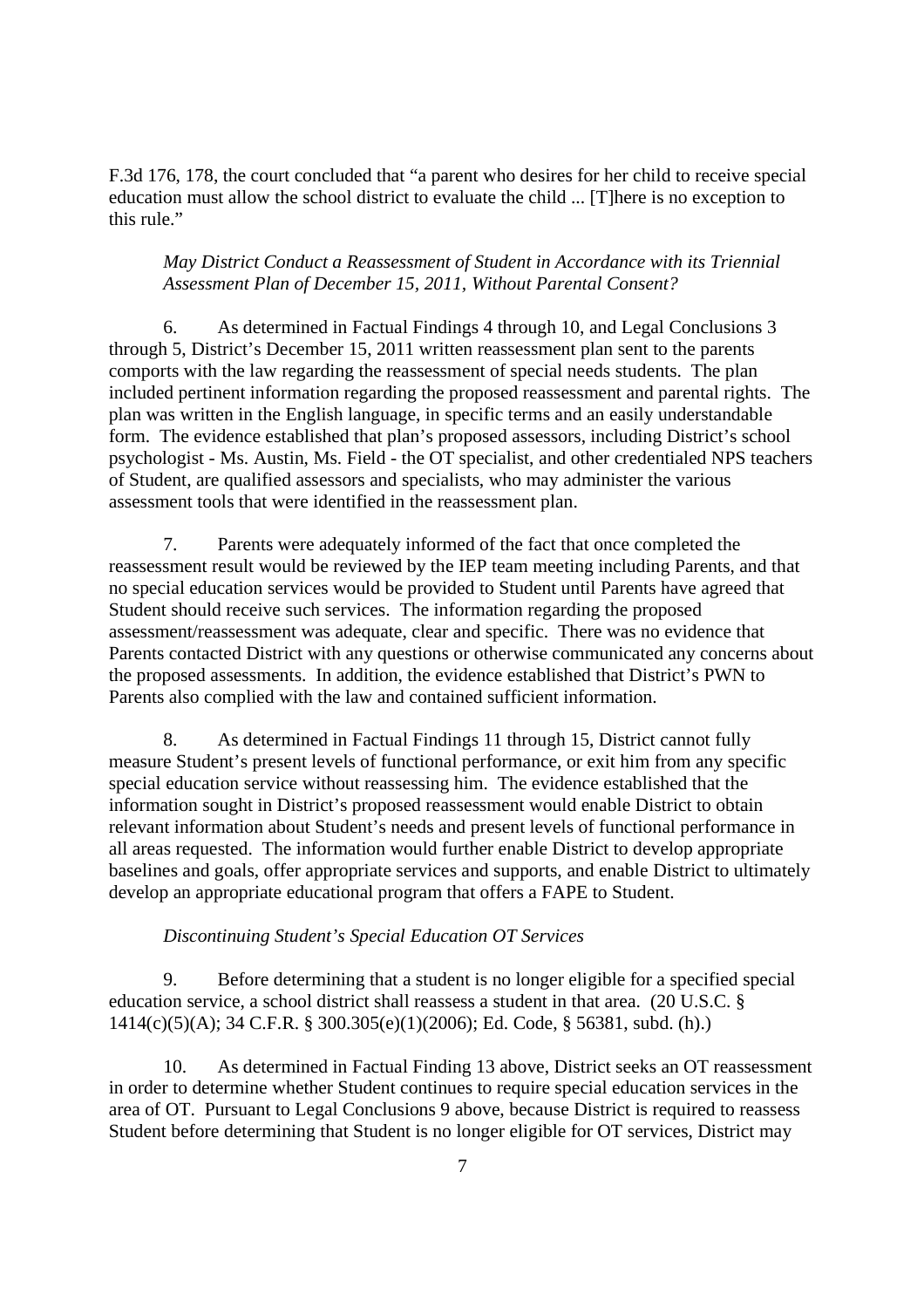F.3d 176, 178, the court concluded that "a parent who desires for her child to receive special education must allow the school district to evaluate the child ... [T]here is no exception to this rule."

## *May District Conduct a Reassessment of Student in Accordance with its Triennial Assessment Plan of December 15, 2011, Without Parental Consent?*

6. As determined in Factual Findings 4 through 10, and Legal Conclusions 3 through 5, District's December 15, 2011 written reassessment plan sent to the parents comports with the law regarding the reassessment of special needs students. The plan included pertinent information regarding the proposed reassessment and parental rights. The plan was written in the English language, in specific terms and an easily understandable form. The evidence established that plan's proposed assessors, including District's school psychologist - Ms. Austin, Ms. Field - the OT specialist, and other credentialed NPS teachers of Student, are qualified assessors and specialists, who may administer the various assessment tools that were identified in the reassessment plan.

7. Parents were adequately informed of the fact that once completed the reassessment result would be reviewed by the IEP team meeting including Parents, and that no special education services would be provided to Student until Parents have agreed that Student should receive such services. The information regarding the proposed assessment/reassessment was adequate, clear and specific. There was no evidence that Parents contacted District with any questions or otherwise communicated any concerns about the proposed assessments. In addition, the evidence established that District's PWN to Parents also complied with the law and contained sufficient information.

8. As determined in Factual Findings 11 through 15, District cannot fully measure Student's present levels of functional performance, or exit him from any specific special education service without reassessing him. The evidence established that the information sought in District's proposed reassessment would enable District to obtain relevant information about Student's needs and present levels of functional performance in all areas requested. The information would further enable District to develop appropriate baselines and goals, offer appropriate services and supports, and enable District to ultimately develop an appropriate educational program that offers a FAPE to Student.

#### *Discontinuing Student's Special Education OT Services*

9. Before determining that a student is no longer eligible for a specified special education service, a school district shall reassess a student in that area. (20 U.S.C. § 1414(c)(5)(A); 34 C.F.R. § 300.305(e)(1)(2006); Ed. Code, § 56381, subd. (h).)

10. As determined in Factual Finding 13 above, District seeks an OT reassessment in order to determine whether Student continues to require special education services in the area of OT. Pursuant to Legal Conclusions 9 above, because District is required to reassess Student before determining that Student is no longer eligible for OT services, District may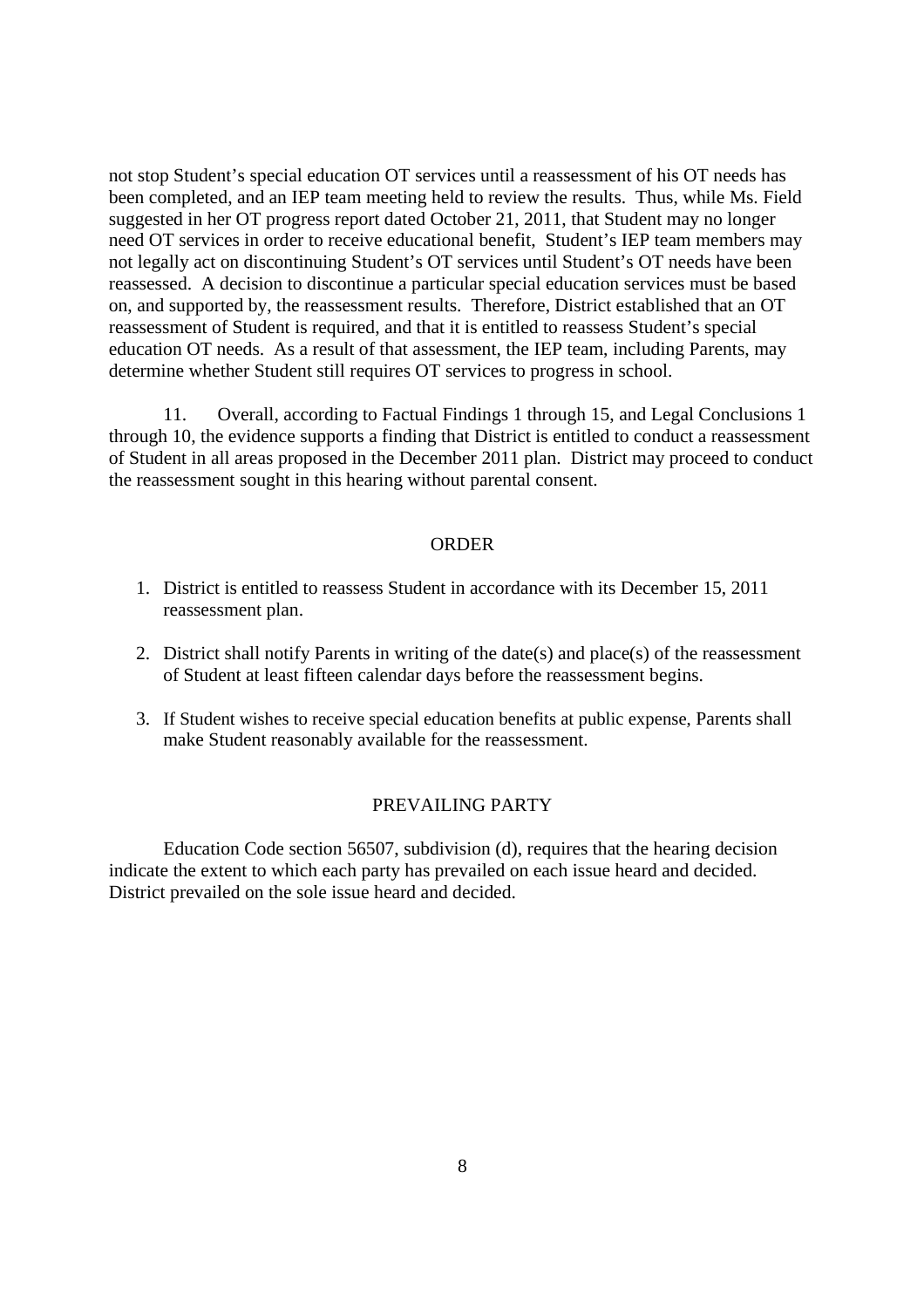not stop Student's special education OT services until a reassessment of his OT needs has been completed, and an IEP team meeting held to review the results. Thus, while Ms. Field suggested in her OT progress report dated October 21, 2011, that Student may no longer need OT services in order to receive educational benefit, Student's IEP team members may not legally act on discontinuing Student's OT services until Student's OT needs have been reassessed. A decision to discontinue a particular special education services must be based on, and supported by, the reassessment results. Therefore, District established that an OT reassessment of Student is required, and that it is entitled to reassess Student's special education OT needs. As a result of that assessment, the IEP team, including Parents, may determine whether Student still requires OT services to progress in school.

11. Overall, according to Factual Findings 1 through 15, and Legal Conclusions 1 through 10, the evidence supports a finding that District is entitled to conduct a reassessment of Student in all areas proposed in the December 2011 plan. District may proceed to conduct the reassessment sought in this hearing without parental consent.

#### ORDER

- 1. District is entitled to reassess Student in accordance with its December 15, 2011 reassessment plan.
- 2. District shall notify Parents in writing of the date(s) and place(s) of the reassessment of Student at least fifteen calendar days before the reassessment begins.
- 3. If Student wishes to receive special education benefits at public expense, Parents shall make Student reasonably available for the reassessment.

#### PREVAILING PARTY

Education Code section 56507, subdivision (d), requires that the hearing decision indicate the extent to which each party has prevailed on each issue heard and decided. District prevailed on the sole issue heard and decided.